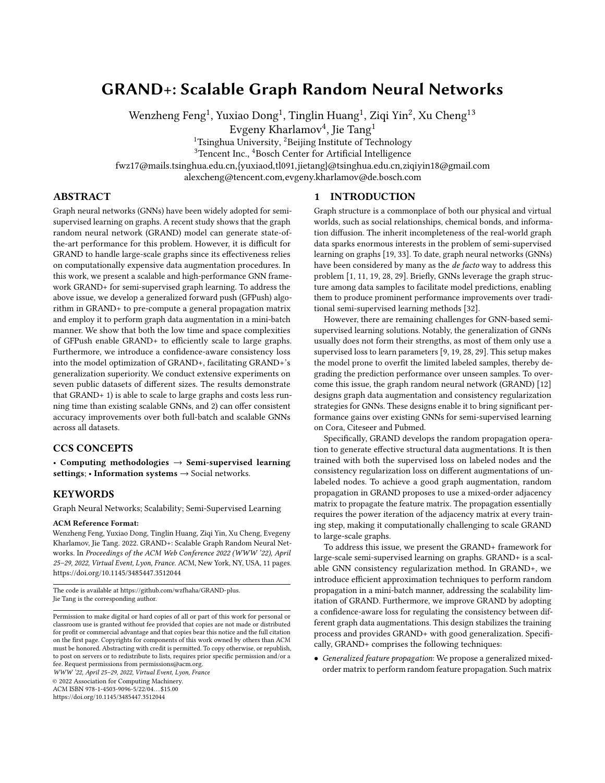# GRAND+: Scalable Graph Random Neural Networks

Wenzheng Feng<sup>1</sup>, Yuxiao Dong<sup>1</sup>, Tinglin Huang<sup>1</sup>, Zigi Yin<sup>2</sup>, Xu Cheng<sup>13</sup>

Evgeny Kharlamov<sup>4</sup>, Jie Tang<sup>1</sup>

<sup>1</sup>Tsinghua University, <sup>2</sup>Beijing Institute of Technology

<sup>3</sup>Tencent Inc., <sup>4</sup>Bosch Center for Artificial Intelligence

fwz17@mails.tsinghua.edu.cn,{yuxiaod,tl091,jietang}@tsinghua.edu.cn,ziqiyin18@gmail.com

alexcheng@tencent.com,evgeny.kharlamov@de.bosch.com

## ABSTRACT

Graph neural networks (GNNs) have been widely adopted for semisupervised learning on graphs. A recent study shows that the graph random neural network (GRAND) model can generate state-ofthe-art performance for this problem. However, it is difficult for GRAND to handle large-scale graphs since its effectiveness relies on computationally expensive data augmentation procedures. In this work, we present a scalable and high-performance GNN framework GRAND+ for semi-supervised graph learning. To address the above issue, we develop a generalized forward push (GFPush) algorithm in GRAND+ to pre-compute a general propagation matrix and employ it to perform graph data augmentation in a mini-batch manner. We show that both the low time and space complexities of GFPush enable GRAND+ to efficiently scale to large graphs. Furthermore, we introduce a confidence-aware consistency loss into the model optimization of GRAND+, facilitating GRAND+'s generalization superiority. We conduct extensive experiments on seven public datasets of different sizes. The results demonstrate that GRAND+ 1) is able to scale to large graphs and costs less running time than existing scalable GNNs, and 2) can offer consistent accuracy improvements over both full-batch and scalable GNNs across all datasets.

## CCS CONCEPTS

• Computing methodologies  $\rightarrow$  Semi-supervised learning settings; • Information systems  $\rightarrow$  Social networks.

## **KEYWORDS**

Graph Neural Networks; Scalability; Semi-Supervised Learning

#### ACM Reference Format:

Wenzheng Feng, Yuxiao Dong, Tinglin Huang, Ziqi Yin, Xu Cheng, Evegeny Kharlamov, Jie Tang. 2022. GRAND+: Scalable Graph Random Neural Networks. In Proceedings of the ACM Web Conference 2022 (WWW '22), April 25–29, 2022, Virtual Event, Lyon, France. ACM, New York, NY, USA, 11 pages. <https://doi.org/10.1145/3485447.3512044>

The code is available at [https://github.com/wzfhaha/GRAND-plus.](https://github.com/wzfhaha/GRAND-plus) Jie Tang is the corresponding author.

WWW '22, April 25–29, 2022, Virtual Event, Lyon, France

© 2022 Association for Computing Machinery. ACM ISBN 978-1-4503-9096-5/22/04. . . \$15.00

<https://doi.org/10.1145/3485447.3512044>

Graph structure is a commonplace of both our physical and virtual worlds, such as social relationships, chemical bonds, and information diffusion. The inherit incompleteness of the real-world graph data sparks enormous interests in the problem of semi-supervised learning on graphs [19, 33]. To date, graph neural networks (GNNs) have been considered by many as the de facto way to address this problem [1, 11, 19, 28, 29]. Briefly, GNNs leverage the graph structure among data samples to facilitate model predictions, enabling them to produce prominent performance improvements over traditional semi-supervised learning methods [32].

However, there are remaining challenges for GNN-based semisupervised learning solutions. Notably, the generalization of GNNs usually does not form their strengths, as most of them only use a supervised loss to learn parameters [9, 19, 28, 29]. This setup makes the model prone to overfit the limited labeled samples, thereby degrading the prediction performance over unseen samples. To overcome this issue, the graph random neural network (GRAND) [12] designs graph data augmentation and consistency regularization strategies for GNNs. These designs enable it to bring significant performance gains over existing GNNs for semi-supervised learning on Cora, Citeseer and Pubmed.

Specifically, GRAND develops the random propagation operation to generate effective structural data augmentations. It is then trained with both the supervised loss on labeled nodes and the consistency regularization loss on different augmentations of unlabeled nodes. To achieve a good graph augmentation, random propagation in GRAND proposes to use a mixed-order adjacency matrix to propagate the feature matrix. The propagation essentially requires the power iteration of the adjacency matrix at every training step, making it computationally challenging to scale GRAND to large-scale graphs.

To address this issue, we present the GRAND+ framework for large-scale semi-supervised learning on graphs. GRAND+ is a scalable GNN consistency regularization method. In GRAND+, we introduce efficient approximation techniques to perform random propagation in a mini-batch manner, addressing the scalability limitation of GRAND. Furthermore, we improve GRAND by adopting a confidence-aware loss for regulating the consistency between different graph data augmentations. This design stabilizes the training process and provides GRAND+ with good generalization. Specifically, GRAND+ comprises the following techniques:

• Generalized feature propagation: We propose a generalized mixedorder matrix to perform random feature propagation. Such matrix

# 1 INTRODUCTION

Permission to make digital or hard copies of all or part of this work for personal or classroom use is granted without fee provided that copies are not made or distributed for profit or commercial advantage and that copies bear this notice and the full citation on the first page. Copyrights for components of this work owned by others than ACM must be honored. Abstracting with credit is permitted. To copy otherwise, or republish, to post on servers or to redistribute to lists, requires prior specific permission and/or a fee. Request permissions from permissions@acm.org.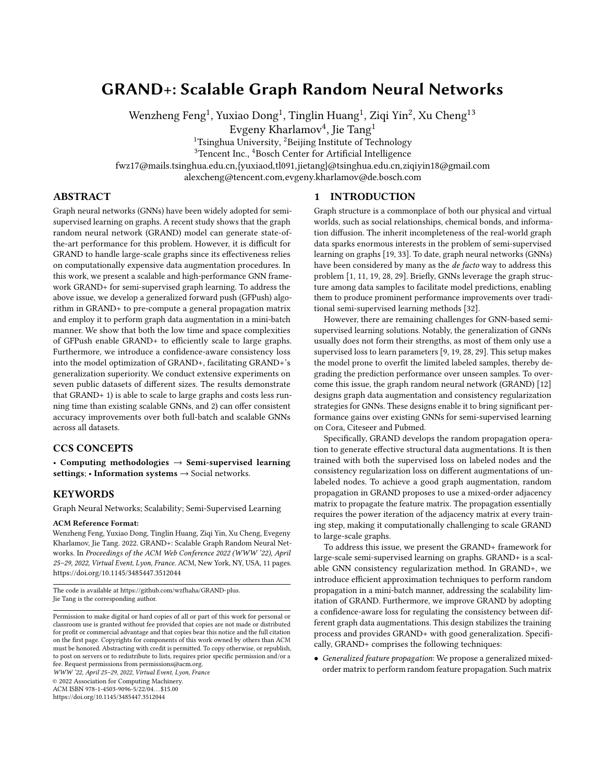offers a set of tunable weights to control the importance of different orders of neighborhoods and thus offers a flexible mechanism for dealing with complex real-world graphs.

- Efficient approximation: Inspired by recent matrix approximation based GNNs [5, 8], GRAND+ adopts an approximation method— Generalized Forward Push (GFPush)—to efficiently calculate the generalized propagation matrix. This enables GRAND+ to perform random propagation and model learning in a mini-batch manner, offering the model with significant scalability.
- Confidence-aware loss: We design a confidence-aware loss for the GRAND+ regularization framework. This helps filter out potential noises during the consistency training by ignoring highly uncertain unlabeled samples, thus improving the generalization performance of GRAND+.

We conduct comprehensive experiments on seven public graph datasets with different genres and scales to demonstrate the performance of GRAND+. Overall, GRAND+ yields the best classification results compared to ten GNN baselines on three benchmark datasets and surpasses five representative scalable GNNs on the other four relatively large datasets with efficiency benefits. For example, GRAND+ achieves a state-of-the-art accuracy of 85.0% on Pubmed. On MAG-Scholar-C with 12.4 million nodes, GRAND+ is about 10 fold faster than FastGCN and GraphSAINT, and offers a 4.9% accuracy gain over PPRGo—previously the fastest method on this dataset—with a comparable running time.

#### 2 SEMI-SUPERVISED GRAPH LEARNING

## 2.1 Problem

In graph-based semi-supervised learning, the data samples are organized as a graph  $G = (V, E)$ , where each node  $v \in V$  represents a data sample and  $E \in V \times V$  is a set of edges that denote the relationships between each pair of nodes. We use  $A \in \{0, 1\}^{|V| \times |V|}$  to represent G's adjacency matrix, with each element  $A(s, v) = 1$  indicating that there exists an edge between *s* and *v*, otherwise  $A(s, v) = 0$ . D is the diagonal degree matrix where  $D(s, s) = \int_a^b A(s, v) \cdot \mathbf{e} \cdot d\mathbf{s}$ used to denote the graph G with added self-loop connections. The corresponding adjacency matrix is  $\mathbf{\hat{R}} = \mathbf{A} + \mathbf{I}$  and the degree matrix is  $\mathbf{B} = \mathbf{D} + \mathbf{I}$ .

In this work, we focus on the classification problem, in which each sample *s* is associated with 1) a feature vector  $X_s \in X$  ∈  $R^{|V| \times d_f}$  and 2) a label vector  $Y_s \in Y \in \{0, 1\}^{|V| \times C}$  with C representing the number of classes. In the semi-supervised setting, only limited nodes  $L \in V$  have observed labels  $(0 < |L| \ll |V|)$ , and the labels of remaining nodes  $U = V - L$  are unseen. The objective of semi-supervised graph learning is to infer the missing labels  $Y_U$ for unlabeled nodes  $U$  based on graph structure  $G$ , node features **X**, and the observed labels  $Y_L^1$ .

#### 2.2 Related Work

Graph neural networks (GNNs) have been widely adopted for addressing the semi-supervised graph learning problem. In this part, we review the progress of GNNs with an emphasis on their largescale solutions to semi-supervised graph learning.

Graph Convolutional Network. The graph convolutional network (GCN) [19] generalizes the convolution operation into graphs. Specifically, the  $l$ -th GCN layer is defined as:

$$
\mathbf{H}^{(l+1)} = \sigma(\hat{\mathbf{A}}\mathbf{H}^{(l)}\mathbf{W}^{(l)}),\tag{1}
$$

where  $H^{(l)}$  denotes the hidden node representations of the *l*-th layer with  $H^{(0)} = X$ ,  $\hat{A} = \mathbf{B}^{-\frac{1}{2}} \mathbf{A} \mathbf{B}^{-\frac{1}{2}}$  is the symmetric normalized adjacency matrix of  $\mathbf{E}$ ,  $\mathbf{W}^{(l)}$  denotes the weight matrix of the *l*th layer, and  $\sigma(\cdot)$  denotes the activation function. In practice, this graph convolution procedure would be repeated multiple times, and the final representations are usually fed into a logistic regression layer for classification.

Simplified Graph Convolution. By taking a closer look at Equation 1, we can observe that graph convolution consists of two operations: feature propagation  $\widetilde{AH}^{(l)}$  and non-linear transformation  $\sigma(\cdot)$ . Wu et al. [29] simplify this procedure by removing the non-linear transformations in hidden layers. The resulting simplified graph convolution (SGC) is formulated as:

$$
\hat{\mathbf{Y}} = \text{softmax}(\hat{\mathbf{A}}^N \mathbf{X} \mathbf{W}),\tag{2}
$$

where  $\hat{A}^N X$  is considered as a simplified N-layer graph convolutions on X, W refers to the learnable weight matrix for classification, and  $\hat{Y}$  denotes the model's predictions.

GNNs with Mixed-Order Propagation. As pointed by Li et al. [23],  $\hat{A}^{N}X$  will converge to a fix point as N increases according to the Markov chain convergence theorem, namely, the oversmoothing issue. To address it, a typical kind of methods [5, 20, 21] suggest to use a more complex mixed-order matrix for feature propagation. For example, APPNP [20] adopts the truncated personalized PageRank (ppr) matrix  $\Pi_{sym}^{per} = \frac{N}{n=0} \alpha (1-\alpha)^n \hat{A}^n$ , where the hyperparameter  $\alpha \in (0,1]$  denotes the teleport probability, allowing the model to preserve the local information even when  $N\rightarrow +\infty.$ 

Scalable GNNs. Broadly, there are three categories of methods proposed for making GNNs scalable: 1) The node sampling methods employ sampling strategies to speed up the recursive feature aggregation procedure. The representative methods include Graph-SAGE [14], FastGCN [7], and LADIES [34]; 2) The graph partition methods attempt to divide the original large graph into several small sub-graphs and run GNNs on sub-graphs. This category consists of Cluster-GCN [10] and GraphSAINT [31]; 3) The matrix approximation methods follow the design of SGC [29] to decouple feature propagation and non-linear transformation, and to utilize some approximation methods to accelerate feature propagation. The proposed GRAND+ framework is highly related to matrix approximation based methods such as PPRGo [5] and GBP [8]. We will analyze their differences in Section 3.6.

#### 3 THE GRAND+ FRAMEWORK

In this section, we briefly review the graph random neural network (GRAND) and present its scalable solution GRAND+ for large-scale semi-supervised graph learning.

#### 3.1 The Graph Random Neural Network

Recently, Feng et al. [12] introduce the graph neural neural network (GRAND) for semi-supervised node classification. GRAND is a GNN

<sup>&</sup>lt;sup>1</sup>For a matrix  $M \in \mathsf{R}^{a \times b}$ , we use  $M_i \in \mathsf{R}^{b}$  to denote its *i*-th row vector and let  $M(i, j)$  represent the element of the *i*-th row and the *j*-th column.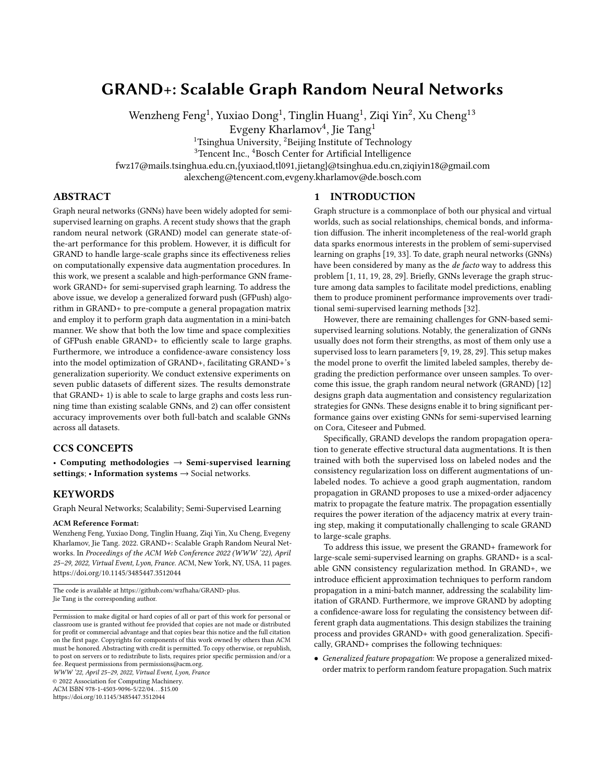

Figure 1: Illustration of GRAND+. (a) GRAND+ adopts Generalized Forward Push (GFPush) and Top-k sparsification to approximate the corresponding rows of propagation matrix Π for nodes in  $L \cup U'$ . (b) The obtained sparsified row approximations are then used to perform mini-batch random propagation to generate augmentations for nodes in the batch. (c) Finally, the calculated feature augmentations are fed into an MLP to conduct confidence-aware consistency training, which employs both supervised loss  $\mathcal{L}_{\text{sup}}$  and confidence-aware consistency loss  $\mathcal{L}_{con}$  for model optimization.

consistency regularization framework that optimizes the prediction consistency of unlabeled nodes in different augmentations.

Specifically, it designs random propagation—a mixed-order propagation strategy—to achieve graph data augmentations. First, the node features X are randomly dropped with DropNode—a variant of dropout. Then the resultant corrupted feature matrix is propagated over the graph with a mixed-order matrix. Instead of the PPR matrix, GRAND uses an average pooling matrix  $\Pi_{sym}^{\text{avg}} = \prod_{n=0}^{N} \hat{A}^n/(N+1)$ for propagation. Formally, the random propagation strategy is formulated as:

$$
\overline{\mathbf{X}} = \Pi_{\text{sym}}^{\text{avg}} \cdot \text{diag}(\mathbf{z}) \cdot \mathbf{X}, \quad \mathbf{z}_i \sim \text{Bernoulli}(1 - \delta), \tag{3}
$$

where  $\mathbf{z} \in \{0,1\}^{|V|}$  denotes the random DropNode masks drawn from Bernoulli(1 –  $\delta$ ), and  $\delta$  represents DropNode probability. In doing so, the dropped information of each node is compensated by its neighborhoods. Under the homophily assumption of graph data, the resulting matrix  $\overline{X}$  can be seen as an effective data augmentation of the original feature matrix X. Owing to the randomness of DropNode, this method can in theory generate exponentially many augmentations for each node.

In each training step of GRAND, the random propagation procedure is performed for  $M$  times, leading to  $M$  augmented feature matrices  $\{ \overline{X}^{(m)} | 1 \leq m \leq M \}$ . Then all the augmented feature matrices are fed into an MLP to get *M* predictions. During optimization, GRAND is trained with both the standard classification loss on labeled data and an additional consistency regularization loss [4] on the unlabeled node set  $U$ , that is,

$$
\frac{1}{M \cdot |U|} \sum_{s \in U} \widetilde{\bullet} \sum_{m=1}^{\infty} \hat{Y}_s^{(m)} - \overline{Y}_s \frac{z}{z}, \quad \overline{Y}_s = \sum_{m=1}^{\infty} \frac{1}{M} \hat{Y}_s^{(m)},
$$
(4)

where  $\hat{\mathbf{Y}}^{(m)}_{\mathrm{s}}$  is MLP's prediction probability for node  $\mathrm{s}$  when using  $\overline{X}_{s}^{(m)}$  as input. The consistency loss provides an additional regularization effect by enforcing the neural network to give similar predictions for different augmentations of unlabeled data. With random propagation and consistency regularization, GRAND achieves better generalization capability over conventional GNNs [12].

Scalability of GRAND. In practice, the  $n$ -th power of the adjacency matrix  $\hat{A}^n$  is computationally infeasible when *n* is large [25]. To avoid this issue, GRAND adopts the power iteration to directly calculate the entire augmented feature matrix  $\overline{X}$  (in Equation 3), i.e., iteratively calculating and summing up the product of  $\hat{A}$  and  $\hat{A}^n \cdot diag(z) \cdot X$  for  $0 \le n \le N$ . This procedure is implemented with the sparse-dense matrix multiplication and has a linear time complexity of  $O(|V| + |E|)$ . However, it needs to be performed for  $M$  times at every training step to generate different feature augmentations. Thus the total complexity of  $T$  training steps becomes  $O(T \cdot M \cdot (|V| + |E|))$ , which is prohibitively expensive when dealing with large graphs.

#### 3.2 Overview of GRAND+

We present GRAND+ to achieve both scalability and accuracy for graph based semi-supervised learning. It follows the general consistency regularization principle of GRAND and comprises techniques to make it scalable to large graphs while maintaining GRAND's flexibility and generalization capability.

Briefly, instead of propagating features with power iteration, we develop an efficient approximation algorithm—generalized forward push (GFPush)—in GRAND+ to pre-compute the required row vectors of propagation matrix and perform random propagation in a mini-batch manner. The time complexity of this procedure is controlled by a predefined hyperparameter, avoiding the scalability limitation faced by GRAND. Furthermore, GRAND+ adopts a new confidence-aware loss for consistency regularization, which makes the training process more stable and leads to better generalization performance than GRAND.

Propagation Matrix. In GRAND+, we propose the following generalized mixed-order matrix for feature propagation:

$$
\Pi = \bigotimes_{n=0}^{\infty} w_n \cdot P^n, \quad P = \mathbf{B}^{-1} \mathbf{R}, \tag{5}
$$

where  $\mathbb{F}_n$  $N_{n=0}$   $w_n = 1$  and  $w_n \geq 0$ , **P** is the row-normalized adjacency matrix. Different from the propagation matrices used in GRAND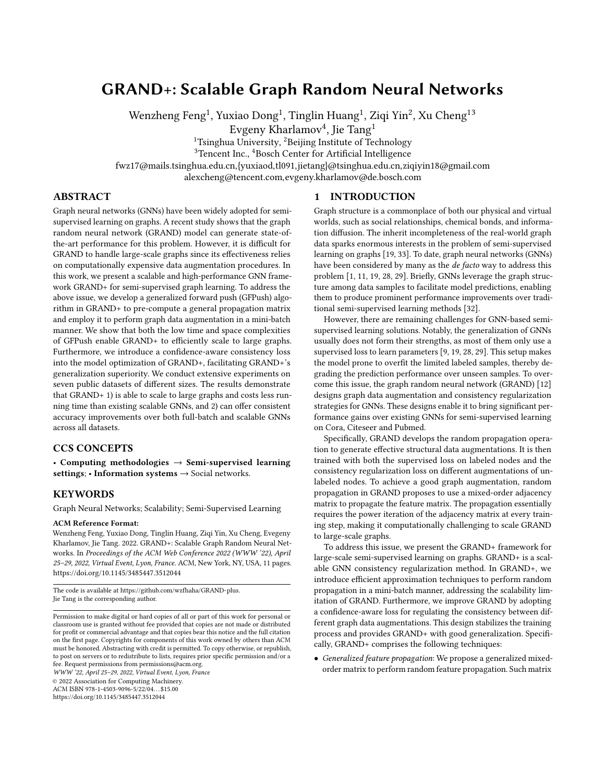and other GNNs, the form of Π adopts a set of tunable weights  $\{w_n | 0 \le n \le N\}$  to fuse different orders of adjacency matrices. By adjusting  $w_n$ , GRAND+ can flexibly manipulate the importance of different orders of neighborhoods to suit the diverse graphs of distinct structural properties in the real world.

Training Pipeline. To achieve fast training, GRAND+ abandons the power iteration method which directly calculates the entire augmented feature matrix  $\overline{X}$ , and instead computes each augmented feature vector separately for each node. Ideally, the augmented feature vector  $\overline{X}_s$  of node s is calculated by:

$$
\overline{\mathbf{X}}_{\mathcal{S}} = \sum_{v \in \mathcal{N}_{\mathcal{S}}^{\mathcal{T}}} \mathbf{z}_v \cdot \Pi(s, v) \cdot \mathbf{X}_v, \quad \mathbf{z}_v \sim \text{Bernoulli}(1 - \delta). \tag{6}
$$

Here we use  $\Pi_s$  to denote the row vector of  $\Pi$  corresponding to node s,  $N_s^{\pi}$  is used to represent the indices of non-zero elements of  $\Pi_s$ ,  $\Pi(s, v)$  denotes the *v*-th element of  $\Pi_s$ . This paradigm allows us to generate augmented features for only a batch of nodes in each training step, and thus enables us to use efficient mini-batch gradient descent for optimization.

However, it is difficult to calculate the exact form of  $\Pi_s$  in practice. To address this problem, we develop several efficient methods to approximate  $\Pi_s$  in GRAND+. The approximation procedure consists of two stages. In the first stage, we propose an efficient method Generalized Forward Push (GFPush) to compute an error-bounded approximation  $\mathbf{H}_s$  for the row vector  $\Pi_s$ . In the second stage, we adopt a top- $k$  sparsification strategy to truncate  $\bar{\mathbf{H}}_s$  to only contain the top  $k$  largest elements. The obtained sparsified row approximation  $\mathbf{\hat{H}}_s^{(k)}$  is used to calculate  $\overline{X}_s$  as a substitute of  $\Pi_s$  (Eq. 6). For efficiency, it is required to pre-compute the corresponding row approximations for all nodes used in training. In addition to labeled nodes, GRAND+ also requires unlabeled nodes to perform consistency regularization during training. To further improve efficiency, instead of using the full set of  $U$ , GRAND+ samples a smaller subset of unlabeled nodes  $U' \subseteq U$  for consistency regularization. As illustrated in Figure 1, the training pipeline of GRAND+ consists of three steps:

- Sub-matrix approximation. We obtain a sparsified row approximation  $\Pi_s^{(k)}$  for each node  $s \in L \cup U'$  through GFPush and top- $k$  sparsification. The resultant sparsified sub-matrix is used to support random propagation.
- Mini-batch random propagation. At each training step, we sample a batch of nodes from  $\tilde{L} \cup U'$  and generate multiple augmentations for each node in the batch with the approximated row vector.
- Confidence-aware consistency training. We feed the augmented features into an MLP to get corresponding predictions and optimize the model with both supervised loss and confidence-aware consistency loss.

#### 3.3 Sub-Matrix Approximation

Generalized Forward Push (GFPush). It can be observed that the row-normalized adjacency matrix **P** =  $\mathbf{B}^{-1}\mathbf{R}$  is also the reverse random walk transition probability matrix [8] on  $\mathbf{\mathfrak{S}}$ , where row vector  $P_s$  denotes random walk transition probabilities starting from node s. Based on this fact, we propose an efficient algorithm called Generalized Forward Push (GFPush) to approximate row vector  $\Pi_s = \prod_{n=0}^{N} w_n P_s^n$  with a bounded error. GFPush is inspired by the Forward Push [2] algorithm for approximating personalized PageRank vector, while has much higher flexibility with the ability to approximate the generalized mixed-order matrix Π. The core idea of GFPush is to simulate an  $N$ -step random walk probability diffusion process from s with a series of pruning operations for acceleration. To achieve that, we should maintain a pair of vectors at each step  $n$   $(0 \le n \le N)$ : 1) Reserve vector  $\mathbf{q}^{(n)} \in \mathsf{R}^{|V|}$ , denoting the probability masses reserved at step *n*; 2) Residue vector  $\mathbf{r}^{(n)} \in \mathbb{R}^{|V|}$ , representing the probability masses to be diffused beyond step  $n$ .

Algorithm 1 shows the pseudo-code of GFPush. At beginning,  $\mathbf{r}^{(0)}$  and  $\mathbf{q}^{(0)}$  are both initialized as the indicator vector  $\mathbf{e}^{(s)}$  where  ${\bf e}_s^{(s)} = 1$  and  ${\bf e}_v^{(s)} = 0$  for  $v < s$ , meaning the random walk starts from s with the probability mass of 1. Other reserve and residue vectors (i.e.,  $\mathbf{r}^{(n)}$  and  $\mathbf{q}^{(n)}$ ,  $1 \le n \le N$ ) are set to  $\vec{0}$ . Then the algorithm iteratively updates reserve and residue vectors with  $N$  steps. In the  $n$ -th iteration, the algorithm conducts a *push* operation (Line 5–9 of algorithm 1) for node v which satisfies  $\mathbf{r}_v^{(n-1)} > \mathbf{d}_v \cdot r_{max}$ . Here  $d_{v} = \mathbf{B}(v, v)$  represents the degree of  $v, r_{max}$  is a predefined threshold. In the push operation, the residue  $\mathbf{r}_v^{(n-1)}$  of  $\mathbf{v}$  is evenly distributed to its neighbors, and the results are stored into the  $n$ -th residue vector  $\mathbf{r}^{(n)}$ . Meanwhile, the reserve vector  $\mathbf{q}^{(n)}$  is also updated to be identical with  $\mathbf{r}^{(n)}$ . After finishing the push operation on v, we reset  $\mathbf{r}_v^{(n-1)}$  to 0 to avoid duplicate updates.

To gain more intuition of this procedure, we could observe that  $\mathbf{r}_v^{(n-1)}/\mathbf{d}_v$  is the conditional probability that a random walk moves from  $v$  to a neighboring node  $u$ , conditioned on it reaching  $v$  with probability  $\mathbf{r}_v^{(n-1)}$  at the previous step. Thus each push operation on  $v$  can be seen as a one-step random walk probability diffusion process from  $v$  to its neighborhoods. To ensure efficiency, GFPush only conducts push operations for node  $v$  whose residue value is greater than  $d_v \cdot r_{max}$ . Thus when the *n*-th iteration is finished,  $q^{(n)}$ can be seen as an approximation of the *n*-step random walk transition vector  $P_s^n$ . And  $\hat{\mathbf{H}}_s = \sum_{n=0}^{N} w_n \mathbf{q}^{(n)}$  is accordingly considered as the approximation of  $\Pi_s$  as returned by the algorithm.

Theoretical Analysis. We have the following theorem about the bounds of time complexity, memory complexity, and approximation error of GFPush.

THEOREM 1. Algorithm 1 has  $O(N/r_{max})$  time complexity and  $O(N/r_{max})$  memory complexity, and returns  $\mathbf{\hat{H}}_s$  as an approximation of  $\Pi_s$  with the  $L_1$  error bound:  $\|\Pi_s - \mathbf{F}_s\|_1 \leq N \cdot (2|E| + |V|) \cdot r_{max}$ .

PROOF. See Appendix A.2.

Theorem 1 suggests that the approximation precision and running cost of GFPush are negatively correlated with  $r_{max}$ . In practice, we could use  $r_{max}$  to control the trade-off between efficiency and approximation precision.

Top- $k$  Sparsification. To further reduce training cost, we perform top- $k$  sparsification for  $\mathbf{\hat{H}}_s$ . In this procedure, only the top- $k$  largest elements of  $\mathbf{\hat{H}}_s$  are preserved and other entries are set to 0. Hence the resultant sparsified transition vector  $\mathbf{\hat{H}}_s^{(k)}$  has at most k nonzero elements. In this way, the model only considers the  $k$  most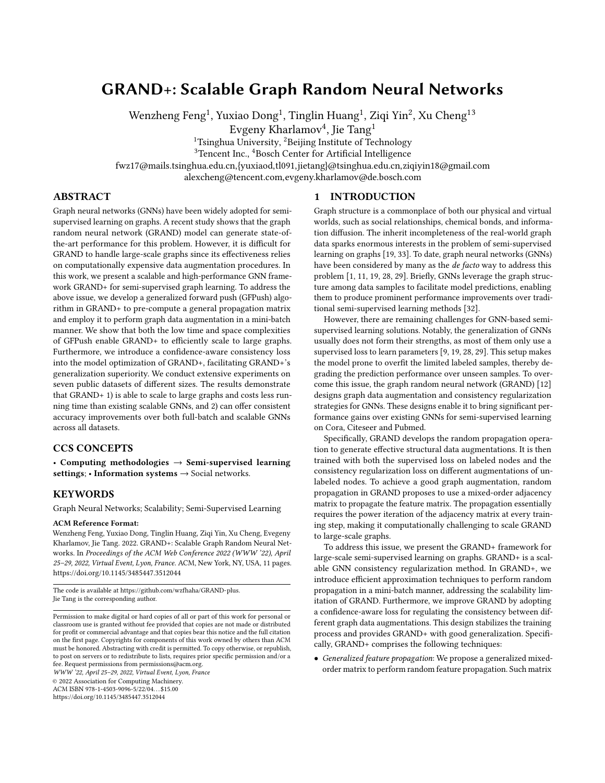#### Algorithm 1: GFPush

```
Input : Self-loop augmented graph \bigoplus, propagation step N, node s,
                    threshold r_{max}, weight coefficients w_n, 0 \le n \le N.
    Output : An approximation \mathbf{\hat{H}}_s of transition vector \Pi_s of node s.
 1 \mathbf{r}^{(n)} \leftarrow \vec{0} for n = 1, ..., N; \mathbf{r}^{(0)} \leftarrow \mathbf{e}^{(s)} \ (\mathbf{e}_s^{(s)} = 1, \mathbf{e}_v^{(s)} = 0 \text{ for } v < s).q^{(n)} \leftarrow \vec{0} for n = 1, ..., N; q^{(0)} \leftarrow e^{(s)}.
 3 for n = 1 : N do
  4 while there exists node v with \mathbf{r}_v^{(n-1)} > \mathbf{d}_v \cdot r_{max} do
 4 while there exists node v<br>5 for each u \in N_v do
                       /* N_v is the neighborhood set of v in graph \bigoplus. */
  6 r_u^{(n)} \leftarrow r_u^{(n)} + r_v^{(n-1)}/d_v\mathbf{q}_u^{(n)} \leftarrow \mathbf{r}_u^{(n)}.8 end
  9 \mathbf{r}_v^{(n-1)} \leftarrow 0./* Perform a push operation on v. * */
10 end
11 end
12 \mathbf{R}_s \leftarrow\blacksquare N<br>N_{n=0} w_n \cdot q^{(n)}.
13 return \mathbf{\hat{H}}_{s}.
```
important neighborhoods for each node in random propagation, which is still expected to be effective based on the clustering assumption [6]. Similar technique was also adopted by PPRGo [5]. We will empirically examine the effects of  $k$  in Section 4.5.

Parallelization. In GRAND+, we need to approximate row vectors for all nodes in  $L \cup U'$ . It could be easily checked that different row approximations are calculated independently with each other in GFPush. Thus we can launch multiple workers to approximate multiple vectors simultaneously. This procedure is implemented with multi-thread programming in our implementation.

#### 3.4 Mini-Batch Random Propagation

 $GRAND+$  adopts the sparsified row approximations of  $\Pi$  to perform random propagation in a mini-batch manner. Specifically, at the  $t$ -th training step, we randomly sample a batch of labeled nodes  $L_t$  from L, and a batch of unlabeled nodes  $U_t$  from U'. Then we calculate augmented feature vector  $\overline{X}_s$  for node  $s \in L_t \cup U_t$  by:

$$
\overline{\mathbf{X}}_s = \mathbf{Z}_v \cdot \mathbf{A}^{(k)}(s, v) \cdot \mathbf{X}_v, \quad \mathbf{z}_v \sim \text{Bernoulli}(1 - \delta), \tag{7}
$$

where  $N_s^{(k)}$  denotes the non-zero indices of  $\mathbf{F}_s^{(k)}$ ,  $X_v \in \mathbb{R}^{d_f}$  is feature vector of node  $v$ . At each training step, we generate  $M$ augmented feature vectors  $\{\overline{X}_{s}^{(m)} | 1 \leq m \leq M\}$  by repeating this procedure for M times. Let  $b = |L_t| + |U_t|$  denote the batch size. Then the time complexity of each batch is bounded by  $O(k \cdot b \cdot d_f)$ .

Random Propagation for Learnable Representations. In Equation 7, the augmented feature vector  $\overline{X}_s$  is calculated with raw features X. However, in some real applications (e.g., image or text classification), the dimension of X might be extremely large, which will incur a huge cost for calculation. To mitigate this issue, we can employ a linear layer to transform each  $X_v$  to a low-dimensional hidden representation  $H_v \in \mathbb{R}^{d_h}$  firstly, and then perform random propagation with H:

$$
\overline{\mathbf{X}}_s = \mathbf{Z}_{\mathbf{z}_v + \mathbf{R}^{(k)}(s, v) \cdot \mathbf{H}_v, \quad \mathbf{H}_v = \mathbf{X}_v \cdot \mathbf{W}^{(0)},
$$
(8)

where  $\mathbf{W}^{(0)} \in \mathbb{R}^{d_f \times d_h}$  denotes learnable transformation matrix. In this way, the computational complexity of this procedure is reduced to  $O(k \cdot b \cdot d_h)$ , where  $d_h \ll d_f$  denotes the dimension of  $H_v$ .

**Prediction.** During training, the augmented feature vector  $\overline{\mathbf{X}}_{\mathbf{s}}^{(m)}$ is fed into an MLP model to get the corresponding outputs:

$$
\hat{\mathbf{Y}}_{s}^{(m)} = \text{MLP}(\overline{\mathbf{X}}_{s}^{(m)}, \Theta),\tag{9}
$$

where  $\hat{\mathbf{Y}}^{(m)}_{s} \in [0, 1]^C$  denotes the prediction probabilities of  $s$ .  $\Theta$ represents MLP's parameters.

#### 3.5 Confidence-Aware Consistency Training

GRAND+ adopts both supervised classification loss and consistency regularization loss to optimize model parameters during training. The supervised loss is defined as the average cross-entropy over multiple augmentations of labeled nodes:

$$
\mathcal{L}_{sup} = -\frac{1}{|L_t| \cdot M} \sum_{s \in L_t} \sum_{m=1}^{\infty} Y_s \cdot \log(\hat{Y}_s^{(m)}).
$$
 (10)

Confidence-Aware Consistency Loss. Inspired by recent advances in semi-supervised learning [4], GRAND adopts an additional consistency loss to optimize the prediction consistency of multiple augmentations of unlabeled data, which is shown to be effective in improving generalization capability. GRAND+ also follows this idea, while adopts a new confidence-aware consistency loss to further improve effectiveness.

Specifically, for node  $s \in U_t$ , we first calculate the distribution center by taking the average of its  $M$  prediction probabilities, i.e.,  $\overline{Y}_s$  =  $\bigcup_{m=1}^{M} \hat{Y}_s^{(m)}/M$ . Then we apply sharpening [17] trick over  $\overline{Y}_s$  to "guess" a pseudo label  $\bigcirc$  for node s. Formally, the guessed probability on the  $j$ -th class of node  $s$  is obtained via:

$$
\mathbf{\mathbf{\hat{F}}}(s,j) = \overline{Y}(s,j)^{\frac{1}{\tau}} / \sum_{c=0}^{\infty} \overline{Y}(s,c)^{\frac{1}{\tau}},
$$
\n(11)

where  $0 < \tau \leq 1$  is a hyperparameter to control the sharpness of the guessed pseudo label. As  $\tau$  decreases,  $\mathbf{\mathbf{\Phi}}_s$  is enforced to become sharper and converges to a one-hot distribution eventually. Then the confidence-aware consistency loss on unlabeled node batch  $U_t$ is defined as:

$$
\mathcal{L}_{con} = \frac{1}{|U_t| \cdot M} \sum_{s \in U_t}^{\bullet} |(\max(\overline{Y}_s) \ge \gamma) \sum_{m=1}^{\bullet} \mathcal{D}(\mathbf{P}_s, \hat{Y}_s^{(m)}), \qquad (12)
$$

where  $I(max(\overline{Y}_s) \geq \gamma)$  is an indicator function which outputs 1 if max( $\overline{Y}_s$ )  $\geq \gamma$  holds, and outputs 0 otherwise.  $0 \leq \gamma < 1$ is a predefined threshold.  $\mathcal{D}(p,q)$  is a distance function which measures the distribution discrepancy between  $p$  and  $q$ . Here we mainly consider two options for  $D: L_2$  distance and KL divergence.

Compared with the consistency loss used in GRAND (Cf. Equation 4), the biggest advantage of  $\mathcal{L}_{con}$  is that it only considers "highly confident" unlabeled nodes determined by threshold  $\tau$  in optimization. This mechanism could reduce the potential training noise by filtering out uncertain pseudo-labels, further improving model's performance in practice. Combining  $\mathcal{L}_{con}$  and  $\mathcal{L}_{sup}$ , the final loss for model optimization is defined as:

$$
\mathcal{L} = \mathcal{L}_{\text{sup}} + \lambda(t) \mathcal{L}_{con},
$$
\n(13)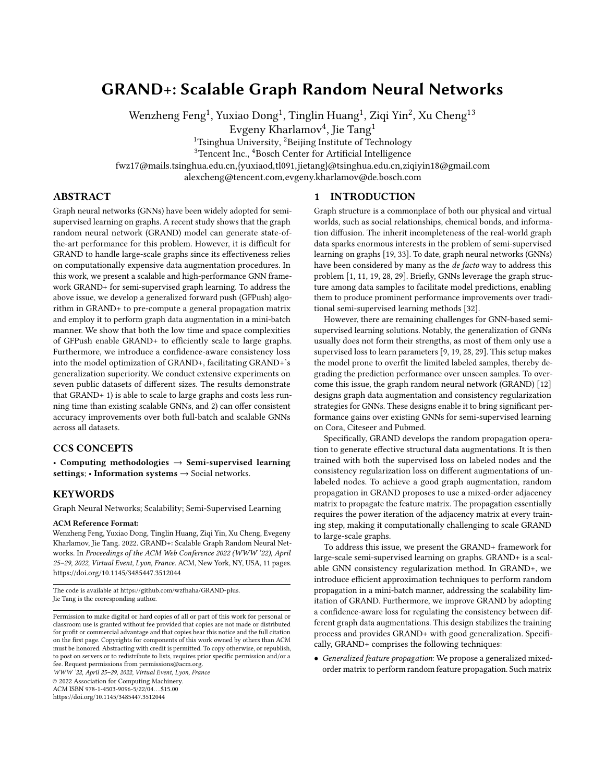WWW '22, April 25–29, 2022, Virtual Event, Lyon, France Feng et al. Sales Feng et al. Sales Feng et al. Sales Feng et al.

#### Algorithm 2: GRAND+

**Input** : Graph G, feature matrix  $\mathbf{X} \in \mathsf{R}^{|V| \times d_f}$  , labeled node set  $L$ , unlabeled node set U and observed labels  $Y_L \in \mathsf{R}^{|L| \times C}$ . Output :Classification probabilities  $\hat{Y}^{(inf)}$ . 1 Sample a subset of unlabeled nodes  $U'$  from  $U$ . 2 for  $s \in L \cup U'$  do  $\mathbf{B}_s \leftarrow \text{GFPush}(G, s).$ **4** Obtain  $\mathbf{\hat{H}}_s^{(k)}$  by applying top- $k$  sparsification on  $\mathbf{\hat{H}}_s$ . /\* Approximating row vectors with pallalization. \*/ 5 end 6 for  $t = 0$ : T do Sample a batch of labeled nodes  $L_t \subseteq L$  and a batch of unlabeled nodes  $U_t \subseteq U'$ . for  $s \in L_t \cup U_t$  do  $9 \mid \text{for } m = 1 : M \text{ do}$ 10 Generate augmented feature vector  $\overline{\mathbf{X}}_{s}^{(m)}$  with Equation 7. 11 Predict class distribution with  $\hat{\Upsilon}_{s}^{(m)} = \text{MLP}(\overline{\mathbf{X}}_{s}^{(m)}, \boldsymbol{\Theta}).$ 12 end 13 end 14 Compute  $\mathcal{L}_{\text{sup}}$  via Equation 10 and  $\mathcal{L}_{con}$  via Equation 12. <sup>15</sup> Update the parameters Θ by mini-batch gradients descending:  $\Theta = \Theta - \eta \nabla_{\Theta} (\mathcal{L}_{\sup} + \lambda \mathcal{L}_{con}).$  $/*$  Stop training with early-stopping.  $*$ / 16 end 17 Infer classification probabilities  $\hat{Y}^{(inf)} = MLP(\Pi \cdot (1 - \delta) \cdot X, \Theta)$ . 18 return  $\hat{Y}^{(inf)}$ .

where  $\lambda(t)$  is a linear warmup function [13] which increases linearly from 0 to the maximum value  $\lambda_{max}$  as training step t increases.

Model Inference. After training, we need to infer the predictions for unlabeled nodes. GRAND+ adopts power iteration to calculate the exact prediction results for unlabeled nodes during inference:

$$
\hat{\Upsilon}^{(inf)} = \text{MLP}(\bigotimes_{n=0}^{\text{min}} w_n (\mathbf{\hat{B}}^{-1} \mathbf{\hat{R}})^n \cdot (1 - \delta) \cdot \mathbf{X}, \Theta), \tag{14}
$$

where we rescale X with  $(1 - \delta)$  to make it identical with the expectation of the DropNode perturbed features used in training. Note that unlike GRAND, the above power iteration process only needs to be performed once in GRAND+, and the computational cost is acceptable in practice. Compared with obtaining predictions with GFPush as done in training, this inference strategy could provide more accurate predictions in theory. Algorithm 2 shows the entire training and inference procedure of GRAND+.

#### 3.6 Model Analysis

Complexity Analysis. We provide detailed analyses for the time complexities of GRAND+'s different learning stages. According to Theorem 1, the complexity of approximation stage (Line 2–5 of Algorithm 2) is  $O((|U'| + |L|) \cdot N/r_{max})$ . As for the training stage (Line 6–15 of Algorithm 2), the total complexity of  $T$  training steps is  $O(k \cdot b \cdot M \cdot T)$ , which is practically efficient for large graphs since b and  $k$  are usually much smaller than the graph size. The complexity of inference stage (Line 17 of Algorithm 2) is  $O((|V| + |E|) \cdot N)$ , which is linear with the sum of node and edge counts.

GRAND+ vs. PPRGo and GBP. Similar with GRAND+, PPRGo [5] and GBP [8] also adopt matrix approximation methods to scale GNNs. However, GRAND+ differs from the two methods in several key aspects. PPRGo scales up APPNP by using Forward Push [2] to

Table 1: Dataset statistics.

| Dataset       | Nodes      | Edges       | Classes | Features  |  |
|---------------|------------|-------------|---------|-----------|--|
| Cora          | 2,708      | 5.429       |         | 1,433     |  |
| Citeseer      | 3.327      | 4.732       | 6       | 3,703     |  |
| Pubmed        | 19,717     | 44.338      | 3       | 500       |  |
| AMiner-CS     | 593,486    | 6,217,004   | 18      | 100       |  |
| Reddit        | 232.965    | 11,606,919  | 41      | 602       |  |
| Amazon2M      | 2,449,029  | 61,859,140  | 47      | 100       |  |
| MAG-Scholar-C | 10,541,560 | 265.219.994 | 8       | 2,784,240 |  |

approximate the ppr matrix. Compared with PPRGo, GRAND+ is more flexible in real applications thanks to the adopted generalized propagation matrix Π and GFPush algorithm. GBP also owns this merit by using the generalized PageRank matrix [22] for feature propagation. However, it directly approximates the propagation results of raw features through bidirectional propagation [3], whose computational complexity is linear with the raw feature dimension, rendering it difficult to handle datasets with high-dimensional features. Moreover, different from PPRGo and GBP designed for the general supervised classification problem, GRAND+ makes significant improvements for semi-supervised setting by adopting random propagation and consistency regularization to enhance generalization capability.

## 4 EXPERIMENTS

#### 4.1 Experimental Setup

Baselines. In our experiments, we compare GRAND+ with five state-of-the-art full-batch GNNs—GCN [19], GAT [28], APPNP [20], GCNII [9] and GRAND [12], as well as five representative scalable GNNs—FastGCN [7], GraphSAINT [31], SGC [29], GBP [8] and PPRGo [5]. For GRAND+, we implement three variants with different settings for propagation matrix  $\Pi$  (Cf. Equation 5):

- GRAND+ (P): Truncated ppr matrix  $\Pi^{\text{ppr}} = \int_{\mathbb{T}}^{N} \alpha (1-\alpha)^n P^n$ .
- GRAND+ (A): Average pooling matrix  $\Pi^{\text{avg}} = \prod_{n=0}^{\infty} P^n/(N+1)$ .
- GRAND+ (S): Single order matrix  $\Pi^{\text{single}} = P^N$ .

Datasets. The experimnents are conducted on seven public datasets of different scales, including three widely adopted benchmark graphs—Cora, Citeseer and Pubmed [30], and four relatively large graphs—AMiner-CS [12], Reddit [14], Amazon2M [10] and MAGscholar-C [5]. For Cora, Citeseer and Pubmed, we use public data splits [19, 28, 30]. For AMiner-CS, Reddit, Amazon2M and MAG-Scholar-C, we use 20×#classes nodes for training, 30×#classes nodes for validation and the remaining nodes for test. The corresponding statistics are summarized in Table 1. More details for the setup and reproducibility can be found in Appendix A.1.

#### 4.2 Results on Benchmark Datasets

To evaluate the effectiveness of GRAND+, we compare it with 10 GNN baselines on Cora, Citeseer and Pubmed. Following the community convention, the results of baseline models on the three benchmarks are taken from the previous works [9, 12, 28]. For GRAND+, we conduct 100 trials with random seeds and report the average accuracy and the corresponding standard deviation over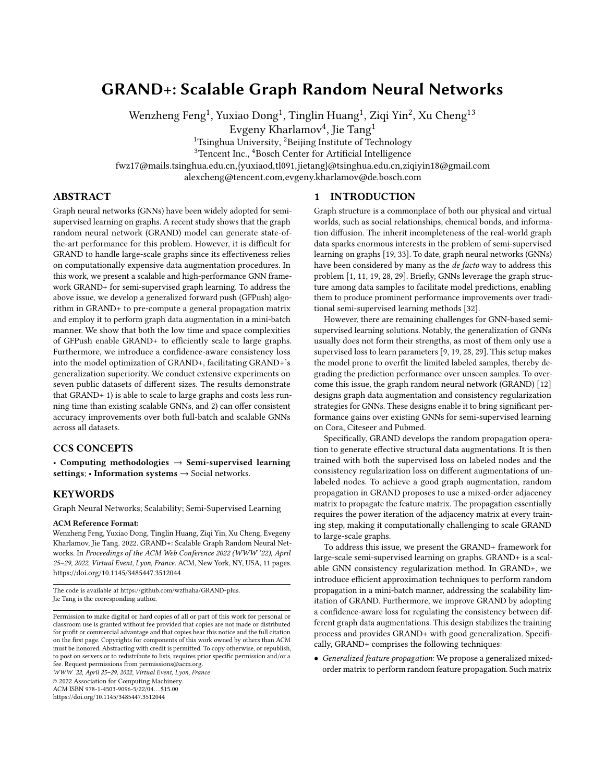Table 2: Classification Accuracy (%) on Benchmarks.

| Category                | Method       |                | Citeseer       | Pubmed         |  |
|-------------------------|--------------|----------------|----------------|----------------|--|
|                         | GCN          | $81.5 \pm 0.6$ | $71.3 \pm 0.4$ | $79.1 \pm 0.4$ |  |
| Full-batch              | GAT          | $83.0 \pm 0.7$ | $72.5 \pm 0.7$ | $79.0 \pm 0.3$ |  |
| <b>GNNs</b>             | <b>APPNP</b> | $84.1 \pm 0.3$ | $71.6 \pm 0.5$ | $79.7 \pm 0.3$ |  |
|                         | GCNII        | $85.5 \pm 0.5$ | $73.4 \pm 0.6$ | $80.3 \pm 0.4$ |  |
|                         | GRAND        | $85.4 \pm 0.4$ | $75.4 \pm 0.4$ | $82.7 \pm 0.6$ |  |
| Scalable<br><b>GNNs</b> | FastGCN      | $81.4 \pm 0.5$ | $68.8 \pm 0.9$ | $77.6 \pm 0.5$ |  |
|                         | GraphSAINT   | $81.3 \pm 0.4$ | $70.5 \pm 0.4$ | $78.2 \pm 0.8$ |  |
|                         | SGC          | $81.0 \pm 0.1$ | $71.8 \pm 0.1$ | $79.0 \pm 0.1$ |  |
|                         | GBP          | $83.9 \pm 0.7$ | $72.9 \pm 0.5$ | $80.6 \pm 0.4$ |  |
|                         | PPRGo        | $82.4 \pm 0.2$ | $71.3 \pm 0.3$ | $80.0 \pm 0.4$ |  |
| Our                     | $GRAND+ (P)$ | $85.8 \pm 0.4$ | $75.6 \pm 0.4$ | $84.5 \pm 1.1$ |  |
| Methods                 | $GRAND+ (A)$ | $85.5 \pm 0.4$ | $75.5 \pm 0.4$ | $85.0 \pm 0.6$ |  |
|                         | $GRAND+ (S)$ | $85.0 \pm 0.5$ | $74.4 \pm 0.5$ | $84.2 \pm 0.6$ |  |

Table 3: Accuracy (%) and Running Time (s) on Large Graphs.

| Method                      | AMiner-CS          |    | Reddit             |    | Amazon2M                                                      |    | MAG.           |      |
|-----------------------------|--------------------|----|--------------------|----|---------------------------------------------------------------|----|----------------|------|
|                             | Acc:               | RT | Acc                | RT | Acc:                                                          | RT | Acc:           | RT   |
| <b>GRAND</b>                | $53.1 \pm 1.1$ 750 |    | <b>OOM</b>         |    | <b>OOM</b>                                                    |    | <b>OOM</b>     |      |
| FastGCN                     | $48.9 + 1.6$       | 69 |                    |    | $89.6+0.6$ 158 72.9 + 1.0 239 64.3 + 5.6                      |    |                | 4220 |
| GraphSAINT                  | $51.8 + 1.3$       | 39 | $92.1 \pm 0.5$     | 39 | $75.9 + 1.3$ 189                                              |    | $75.0 \pm 1.7$ | 6009 |
| SGC                         | $50.2 + 1.2$       | 9  | $92.5 + 0.2$ 31    |    | $74.9 \pm 0.5$                                                | 69 |                | >24h |
| <b>GBP</b>                  | $52.7 + 1.7$       | 21 | $88.7 \pm 1.1$ 370 |    | $70.1 \pm 0.9$ 280                                            |    | $\sim$         | >24h |
| PPRGo                       | $51.2 \pm 1.4$     | 11 |                    |    | $91.3 \pm 0.2$ 233 67.6 $\pm$ 0.5 160 72.9 $\pm$ 1.1          |    |                | 434  |
| $GRAND+ (P)$                | $53.9 \pm 1.8$     |    |                    |    | $17   93.3 \pm 0.2   183   75.6 \pm 0.7   188   77.6 \pm 1.2$ |    |                | 653  |
| $GRAND+ (A)$                | $54.2 \pm 1.7$     |    |                    |    | $14 93.5\pm0.2 174 75.9\pm0.7 136 80.0\pm1.1$                 |    |                | 737  |
| $GRAND+ (S)   54.2 \pm 1.6$ |                    |    |                    |    | $10 92.8\pm0.2$ 62 76.2 $\pm$ 0.6 80                          |    | $77.8 \pm 0.9$ | 483  |

the trials. The results are demonstrated in Table 2. It can be observed that the best GRAND+ variant consistently outperforms all baselines across the three datasets. Notably, GRAND+ (A) improves upon GRAND by a margin of 2.3% (absolute difference) on Pubmed. The improvements of GRAND+ (P) over GRAND on Cora  $(85.8 \pm 0.4)$ vs. 85.4 $\pm$ 0.4) and Citeseer (75.6 $\pm$ 0.4 vs. 75.4 $\pm$ 0.4) are also statistically significant (p-value  $\ll 0.01$  by a t-test). These results suggest the strong generalization performance achieved by GRAND+.

#### 4.3 Results on Large Graphs

To justify the scalability of GRAND+, we further compare it with five scalable GNN baselines on four large graphs, i.e., AMiner-CS, Reddit, Amazon2M and MAG-Scholar-C. Note that the feature dimension of MAG-Scholar-C is huge (i.e., 2.8M features per node). To enable GRAND+ to deal with it, a learnable linear layer is added before random propagation to transform the high-dimensional node features to low-dimensional hidden vectors (Cf. Equation 8). For a fair comparison, we conduct careful hyperparameter selection for all methods (Cf. Appendix A.1). We run each model for 10 trails with random splits, and report its average accuracy and average running time (including preprocessing time, training time and inference time) over the trials. The results are summarized in Table 3.

We interpret the results of Table 3 from two perspectives. First, combining with the results in Table 2, we notice that the three variants of GRAND+ exhibit big differences across these datasets:

GRAND+: Scalable Graph Random Neural Networks WWW '22, April 25–29, 2022, Virtual Event, Lyon, France



Figure 2: Effects of  $\lambda_{max}$  and  $\gamma$  on Pubmed.

On Cora and Citeseer, GRAND+ (P) achieves better results than GRAND+ (A) and GRAND+ (S); On Pubmed, Reddit and MAG-Scholar-C, GRAND+ (A) surpasses the other two variants; On AMiner-CS and Amazon2M, GRAND+ (S) gets the best classification results. This indicates that the propagation matrix plays a critical role in this task, and further suggests that GRAND+ could flexibly deal with different graphs by adjusting the generalized mixed-order matrix Π.

Second, we observe GRAND+ consistently surpasses all baseline methods in accuracy and gets efficient running time on the four datasets. Importantly, on the largest graph MAG-Scholar-C, GRAND+ could succeed in training and making predictions in around 10 minutes, while SGC and GBP require more than 24 hours to finish, because the two methods are designed to directly propagate the high-dimensional raw features in pre-processing step. Compared with FastGCN and GraphSAINT, GRAND+ (S) achieves 8× and 12× acceleration respectively. When compared with PPRGo, the fastest model on this dataset in the past, GRAND+ (S) gets 4.9% improvement in accuracy while with a comparable running time. These results indicate GRAND+ scales well on large graphs and further emphasize its excellent performance.

We also report the accuracy and running time of GRAND on AMiner-CS. Note that it can not be executed on the other three large datasets due to the out-of-memory error. As we can see, GRAND+ achieves over 40× acceleration in terms of running time over GRAND on AMiner-CS, demonstrating the effectiveness of the proposed approximation techiniques in improving efficiency.

#### 4.4 Generalization Improvements

In this section, we quantitatively investigate the benefits of the proposed confidence-aware consistency loss  $\mathcal{L}_{con}$  to model's generalization capability. In GRAND+,  $\mathcal{L}_{con}$  is mainly dominated by two hyperparameters: confidence threshold  $\gamma$  (Cf. Equation 12) and maximum consistency loss weight  $\lambda_{max}$  (Cf. Equation 13).

We first analyze the effects of  $\gamma$  and  $\lambda_{max}$  on GRAND+'s classification performance. Specifically, we adjust the values of  $\gamma$  and  $\lambda_{max}$  separately with other hyperparameters fixed, and observe how GRAND+'s accuracy changes on test set. Figure 2 illustrates the results on Pubmed dataset. From Figure 2 (a), it can be seen that the accuracy is significantly improved as  $\lambda_{max}$  increases from 0 to 0.8. When  $\lambda_{max}$  is greater than 0.8, the accuracy tends to be stable. This indicates that the consistency loss could really contribute to GRAND+'s performance. From Figure 2 (b), we observe model's performance benefits from the enlargement of  $\gamma$  when  $\gamma$  is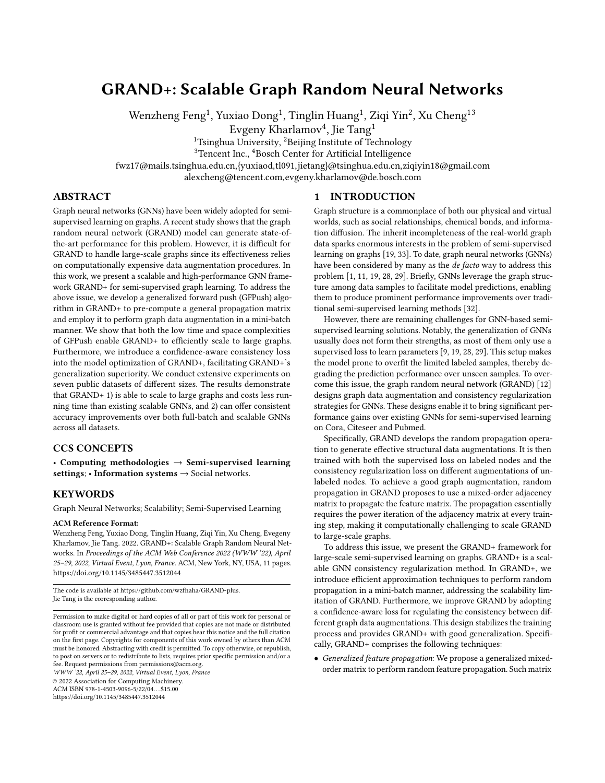

Figure 3: Training and Validation Losses on Pubmed.

less than 0.7, which highlights the significance of the confidence mechanism. If  $\gamma$  is set too large (i.e.,  $> 0.7$ ), the performance will degrade because too much unlabeled samples are ignored in this case, weakening the effects of consistency regularization.

Figure 2 demonstrates the confidence-aware consistency loss could significantly improve model's performance. We further study its benefits to generalization capability by analysing the crossentropy losses on training set and validation set. Here we measure model's generalization capability with its generalization gap  $[16]$ the gap between training loss and validation loss. A smaller generalization gap means the model has a better generalization capability. Figure 3 reports the training and validation losses of GRAND+ (A) on Pubmed. We can observe the generalization gap is rather large when we do not use consistency loss ( $\lambda_{max} = 0$ ) during training, indicating a severe over-fitting issue. And the gap becomes smaller when we change  $\lambda_{max}$  to 1.0. When we set both  $\lambda_{max}$  and  $\gamma$  to proper values (i.e.,  $\lambda_{max} = 1.0$ ,  $\gamma = 0.6$ ), the generalization gap further decreases. These observations demonstrate the proposed consistency training and confidence mechanism indeed contribute to GRAND+'s generalization capability.

#### 4.5 Parameter Analysis

Threshold  $r_{max}$  and Neighborhood Size  $k$ . GRAND+ uses GF-Push and top- $k$  sparsification to approximate multiple row vectors of Π to perform mini-batch random propagation (Cf. Section 3.4). The approximation error of this process is mainly influenced by two hyperparameters—threshold  $r_{max}$  of GFPush and maximum neighborhood size  $k$  for sparsification. We conduct detailed experiments to better understand the effects of  $k$  and  $r_{max}$  on model's accuracy and running time. Figure 4 illustrates the corresponding results of GRAND+ (S) w.r.t. different values of  $k$  and  $r_{max}$  on MAG-Scholar-C. As we can see, both the accuracy and running time increase when  $r_{max}$  becomes smaller, which is coincident with the conclusion of Theorem 1. While  $k$  has an opposite effect—the accuracy and running time are enlarged with the increase of  $k$ . Interestingly, as  $k$  decreases from 128 to 32, the running time is cut in half with only ∼ 2% performance drop in accuracy. This demonstrates the effectiveness of the top- $k$  sparsification strategy, which could achieve significant acceleration at little cost of accuracy.

**Propagation Order**  $N$ . We study the influence of propagation order  $N$  on GRAND+ when using different propagation matrices. Figure 5 presents the classification performance and running time of three GRAND+ variants on MAG-Scholar-C w.r.t. different values of *N*. As we can see, when  $N = 2$ , GRAND+ (S) achieves better



Figure 4: GRAND+ w.r.t.  $k$  and  $r_{max}$  on MAG-Scholar-C.



Figure 5: Effects of propagation order  $N$  on MAG-Scholar-C.

accuracy and faster running time than GRAND+ (P) and GRAND+ (A). However, as  $N$  increases, the accuracy of GRAND+ (S) drops dramatically because of the over-smoothing issue, while GRAND+ (P) and GRAND+ (A) do not suffer from this problem and benefit from a larger propagation order. On the other hand, increasing 𝑁 will enlarge models' running time. In real applications, we can flexibly adjust the propagation matrix and the value of  $N$  to make desired efficiency and effectiveness.

#### 5 CONCLUSION

We propose GRAND+, a scalable and high-performance GNN framework for graph-based semi-supervised learning. The advantages of GRAND+ include both the scalability and generalization capability while the existing state-of-the-art solutions typically feature only one of the two. To this effect, we follow the consistency regularization principle of GRAND in achieving the generalization performance, while significantly extend it to achieve scalability and retain and even exceed the flexibility and generalization capability of GRAND. To achieve these, GRAND+ utilizes a generalized mixed-order matrix for feature propagation, and uses our approximation method generalized forward push (GFPush) to calculate it efficiently. In addition, GRAND+ adopts a new confidence-aware consistency loss to achieve better consistency training. Extensive experiments show that GRAND+ not only gets the best performance on benchmark datasets, but also achieves performance and efficiency superiority over existing scalable GNNs on datasets with millions of nodes. In the future, we would like to explore more accurate approximation methods to accelerate GNNs.

#### ACKNOWLEDGMENTS

The work is supported by the NSFC for Distinguished Young Scholar (61825602) and Tsinghua-Bosch Joint ML Center.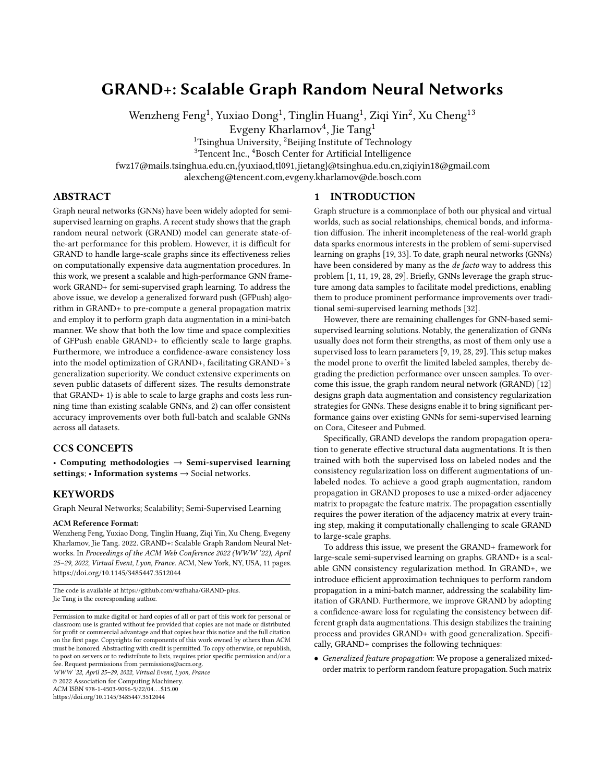GRAND+: Scalable Graph Random Neural Networks WWW '22, April 25–29, 2022, Virtual Event, Lyon, France

#### **REFERENCES**

- [1] Sami Abu-El-Haija, Bryan Perozzi, Amol Kapoor, Hrayr Harutyunyan, Nazanin Alipourfard, Kristina Lerman, Greg Ver Steeg, and Aram Galstyan. 2019. Mixhop: Higher-order graph convolution architectures via sparsified neighborhood mixing. ICML'19 (2019).
- [2] Reid Andersen, Fan Chung, and Kevin Lang. 2006. Local graph partitioning using pagerank vectors. In FOCS'06. IEEE, 475–486.
- [3] Siddhartha Banerjee and Peter Lofgren. 2015. Fast Bidirectional Probability Estimation in Markov Models. NeurIPS (2015).
- [4] David Berthelot, Nicholas Carlini, J. Ian Goodfellow, Nicolas Papernot, Avital Oliver, and Colin Raffel. 2019. MixMatch: A Holistic Approach to Semi-Supervised Learning. NeurIPS (2019), 5050–5060.
- [5] Aleksandar Bojchevski, Johannes Klicpera, Bryan Perozzi, Amol Kapoor, Martin Blais, Benedek Rózemberczki, Michal Lukasik, and Stephan Günnemann. 2020. Scaling graph neural networks with approximate pagerank. In KDD'20. 2464– 2473.
- [6] Olivier Chapelle, Bernhard Schölkopf, and Alexander Zien. 2006. Semi-supervised learning. The MIT Press. [https://doi.org/10.7551/mitpress/9780262033589.001.](https://doi.org/10.7551/mitpress/9780262033589.001.0001) [0001](https://doi.org/10.7551/mitpress/9780262033589.001.0001)
- [7] Jie Chen, Tengfei Ma, and Cao Xiao. 2018. FastGCN: Fast Learning with Graph Convolutional Networks via Importance Sampling. ICLR (2018).
- [8] Ming Chen, Zhewei Wei, Bolin Ding, Yaliang Li, Ye Yuan, Xiaoyong Du, and Ji-Rong Wen. 2020. Scalable Graph Neural Networks via Bidirectional Propagation. NeurIPS (2020).
- [9] Ming Chen, Zhewei Wei, Zengfeng Huang, Bolin Ding, and Yaliang Li. 2020. Simple and deep graph convolutional networks. In ICML. PMLR, 1725–1735.
- [10] Wei-Lin Chiang, Xuanqing Liu, Si Si, Yang Li, Samy Bengio, and Cho-Jui Hsieh. 2019. Cluster-GCN: An Efficient Algorithm for Training Deep and Large Graph Convolutional Networks. In KDD'19.
- [11] Ming Ding, Jie Tang, and Jie Zhang. 2018. Semi-supervised learning on graphs with generative adversarial nets. CIKM'18 (2018).
- [12] Wenzheng Feng, Jie Zhang, Yuxiao Dong, Yu Han, Huanbo Luan, Qian Xu, Qiang Yang, Evgeny Kharlamov, and Jie Tang. 2020. Graph Random Neural Network for Semi-Supervised Learning on Graphs. NeurIPS (2020).
- [13] Priya Goyal, Piotr Dollár, Ross Girshick, Pieter Noordhuis, Lukasz Wesolowski, Aapo Kyrola, Andrew Tulloch, Yangqing Jia, and Kaiming He. 2017. Accurate, large minibatch sgd: Training imagenet in 1 hour. arXiv preprint arXiv:1706.02677 (2017).
- [14] Will Hamilton, Zhitao Ying, and Jure Leskovec. 2017. Inductive representation learning on large graphs.  $\overline{NeurlPS}$  (2017), 1025–1035.
- [15] Sergey Ioffe and Christian Szegedy. 2015. Batch normalization: Accelerating deep network training by reducing internal covariate shift. ICML (2015).
- [16] Shirish Nitish Keskar, Dheevatsa Mudigere, Jorge Nocedal, Mikhail Smelyanskiy, and Tak Peter Ping Tang. 2017. On Large-Batch Training for Deep Learning: Generalization Gap and Sharp Minima. ICLR (2017).
- [17] Sohn Kihyuk, Berthelot David, Li Chun-Liang, Zhang Zizhao, Carlini Nicholas, Ekin Cubuk D., Kurakin Alex, Zhang Han, and Raffel Colin. 2020. FixMatch: Simplifying Semi-Supervised Learning with Consistency and Confidence. NeurIPS (2020).
- [18] P. Diederik Kingma and Lei Jimmy Ba. 2015. Adam: A Method for Stochastic Optimization. ICLR (2015).
- [19] N. Thomas Kipf and Max Welling. 2017. Semi-Supervised Classification with Graph Convolutional Networks. ICLR (2017).
- [20] Johannes Klicpera, Aleksandar Bojchevski, and Stephan Günnemann. 2019. Predict then Propagate: Graph Neural Networks meet Personalized PageRank. ICLR (2019).
- [21] Johannes Klicpera, Stefan Weißenberger, and Stephan Günnemann. 2019. Diffusion improves graph learning. arXiv preprint arXiv:1911.05485 (2019).
- [22] Pan Li, Eli Chien, and Olgica Milenkovic. 2019. Optimizing generalized pagerank methods for seed-expansion community detection. arXiv preprint arXiv:1905.10881 (2019).
- [23] Qimai Li, Zhichao Han, and Xiao-Ming Wu. 2018. Deeper insights into graph convolutional networks for semi-supervised learning. In AAAI'18.
- [24] Razvan Pascanu, Tomas Mikolov, and Yoshua Bengio. 2013. On the difficulty of training recurrent neural networks. ICML (2013), 1310–1318.
- [25] Jiezhong Qiu, Yuxiao Dong, Hao Ma, Jian Li, Kuansan Wang, and Jie Tang. 2018. Network embedding as matrix factorization: Unifying deepwalk, line, pte, and node2vec. In WSDM'18. 459–467.
- [26] Arnab Sinha, Zhihong Shen, Yang Song, Hao Ma, Darrin Eide, Paul Bo-June Hsu, and Kuansan Wang. 2015. An Overview of Microsoft Academic Service (MAS) and Applications. WWW (Companion Volume) (2015), 243–246.
- [27] Jie Tang, Jing Zhang, Limin Yao, Juanzi Li, Li Zhang, and Zhong Su. 2008. Arnetminer: extraction and mining of academic social networks. In KDD'08.
- [28] Petar Velickovic, Guillem Cucurull, Arantxa Casanova, Adriana Romero, Pietro Liò, and Yoshua Bengio. 2018. Graph Attention Networks. ICLR (2018).
- [29] Felix Wu, Amauri Souza, Tianyi Zhang, Christopher Fifty, Tao Yu, and Kilian Weinberger. 2019. Simplifying graph convolutional networks. ICML (2019),

6861–6871.

- [30] Zhilin Yang, William W Cohen, and Ruslan Salakhutdinov. 2016. Revisiting semi-supervised learning with graph embeddings. ICML (2016).
- [31] Hanqing Zeng, Hongkuan Zhou, Ajitesh Srivastava, Rajgopal Kannan, and Viktor Prasanna. 2020. GraphSAINT: Graph Sampling Based Inductive Learning Method. ICLR (2020).
- [32] Dengyong Zhou, Olivier Bousquet, Thomas N Lal, Jason Weston, and Bernhard Schölkopf. 2004. Learning with local and global consistency. NeurIPS (2004), 321–328.
- [33] Xiaojin Zhu, Zoubin Ghahramani, and John D Lafferty. 2003. Semi-supervised learning using gaussian fields and harmonic functions. ICML (2003).
- [34] Difan Zou, Ziniu Hu, Yewen Wang, Song Jiang, Yizhou Sun, and Quanquan Gu. 2019. Layer-dependent importance sampling for training deep and large graph convolutional networks. NeurIPS (2019).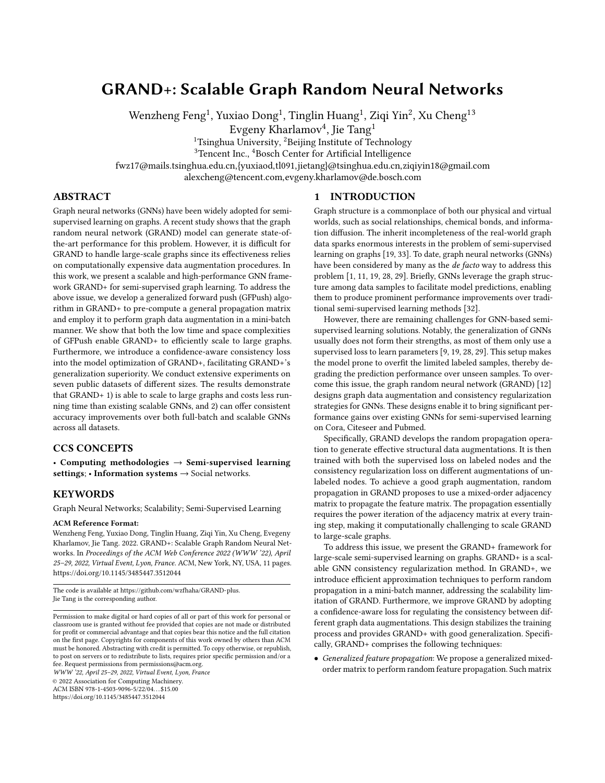WWW '22, April 25-29, 2022, Virtual Event, Lyon, France Feng et al. Sales and the state of the state of the state of the state of the state of the state of the state of the state of the state of the state of the state of t

#### A APPENDIX

#### A.1 Implementation Note

A.1.1 Running environment. The experiments are conducted on a single Linux server with Intel(R) Xeon(R) CPU Gold 6420 @ 2.60GHz, 376G RAM and 10 NVIDIA GeForce RTX 3090TI-24GB. The Python version is 3.8.5.

A.1.2 Implementation details. We implement GFPush with C++, and use OpenMP to perform parallelization. We use Pytorch to implement the training process of GRAND+, and use pybind<sup>5</sup> to create Python binding for approximation module. In GRAND+ and other baselines, we use BatchNorm [15] and gradient clipping [24] to stabilize the model training, and adopt Adam [18] for optimization.

A.1.3 Dataset details. There are totally 7 datasets used in this paper, that is, Cora, Citeseer, Pubmed, AMiner-CS, Reddit, Amazon2M and MAG-Scholar-C. Our preprocessing scripts for Cora, Citeseer and Pubmed are implemented with reference to the codes of Planetoid<sup>6</sup>. Following the experimental setup used in [19, 28, 30], we run 100 trials with random seeds for the results on Cora, Citeseer and Pubmed reported in Section 4.2. AMiner-CS is constructed by Feng et al. [12] based on the AMiner citation network [27]. In AMiner-CS, each node represents a paper, the edges are citation relations, labels are research topics of papers. Reddit is published by Hamilton et al. [14], in which each node represents a post in the Reddit community, a graph link represents the two posts have been commented by the same user. The task is to predict the category of each post. Amazon2M is published by Chiang et al. [10], where each node is a product, each edge denotes the two products are purchased together, labels represent the categories of products. MAG-Scholar-C is constructed by Bojchevski [5] based on Microsoft Academic Graph (MAG) [26], in which nodes refer to papers, edges represent citation relations among papers and features are bag-of-words of paper abstracts.

For AMiner-CS, Reddit, Amazon2M and MAG-Scholar-C, we use 20×#classes for training, 30×#classes nodes for validation and the remaining nodes for test. For Aminer, Reddit and MAG-Scholar-C, we randomly sample the same number of nodes for each class—20 nodes per class for training and 30 nodes per class for validation. For Amazon2M, we uniformly sample all the training and validation nodes from the whole datasets, as the node counts of some classes are less than 20. For these datasets, we report the average results of 10 trails with random splits.

A.1.4 Hyperparameter Selection. For results in Table 2, we adjust hyperparameters of GRAND+ on validation set, and use the best configuration for prediction, and the results of other baseline methods are taken from previous works [9, 12, 28]. For results in Table 3-5, we conduct detailed hyperparameter search for both GRAND+ and other GNN baselines (i.e., FastGCN, GraphSAINT, SGC, GBP and PPRGo). For each search, we run 3 experiments with random seeds, and select the hyperparameter configuration which gets the best average accuracy on validation set. Then we train model with the selected configuration.

Table 4: Hyperparameter configuration of GRAND+.

|               |                          | lr        | wr           | $L_m$          | $d_h$                    | $r_{max}$ |    | $k$ N          | $\lambda_{max}$ |
|---------------|--------------------------|-----------|--------------|----------------|--------------------------|-----------|----|----------------|-----------------|
|               | $GRAND+ (P)$             | $10^{-2}$ | $10^{-3}$    | $\overline{2}$ | 64                       | $10^{-7}$ | 32 | 20             | 1.5             |
| Cora          | $GRAND+ (A)$             | $10^{-2}$ | $10^{-3}$    | $\overline{c}$ | 64                       | $10^{-7}$ | 32 | $\overline{4}$ | 1.5             |
|               | $GRAND+ (S)$             | $10^{-2}$ | $10^{-3}$    | $\overline{2}$ | 64                       | $10^{-7}$ | 32 | 2              | 1.5             |
|               | $GRAND+ (P)   10^{-3}$   |           | $10^{-3}$    | $\overline{2}$ | 256                      | $10^{-7}$ | 32 | 10             | 0.8             |
| Citeseer      | $GRAND+ (A)$             | $10^{-3}$ | $10^{-3}$    | $\overline{2}$ | 256                      | $10^{-7}$ | 32 | $\overline{2}$ | 0.8             |
|               | GRAND+ $(S)$   $10^{-3}$ |           | $10^{-3}$    | $\overline{2}$ | 256                      | $10^{-7}$ | 32 | 2              | 0.8             |
|               | $GRAND+ (P)   10^{-2}$   |           | $10^{-2}$    | $\mathbf{1}$   |                          | $10^{-5}$ | 16 | 6              | 1.0             |
| Pubmed        | $GRAND+ (A)$             | $10^{-2}$ | $10^{-2}$    | $\mathbf{1}$   |                          | $10^{-5}$ | 16 | $\overline{4}$ | 1.0             |
|               | $GRAND+ (S)   10^{-2}$   |           | $10^{-2}$    | $\mathbf{1}$   |                          | $10^{-5}$ | 16 | 2              | 1.0             |
|               | GRAND+ (P) $ 10^{-2}$    |           | $10^{-2}$    | $\mathbf{1}$   | $\overline{\phantom{a}}$ | $10^{-5}$ | 64 | 6              | 1.5             |
| AMiner-CS     | $GRAND+ (A)$             | $10^{-2}$ | $10^{-2}$    | $\mathbf{1}$   |                          | $10^{-5}$ | 64 | $\overline{4}$ | 1.5             |
|               | GRAND+ (S) $ 10^{-2}$    |           | $10^{-2}$    | $\mathbf{1}$   |                          | $10^{-5}$ | 64 | $\overline{2}$ | 1.5             |
|               | $GRAND+ (P)   10^{-4}$   |           | $\mathbf{0}$ | $\overline{2}$ | 512                      | $10^{-5}$ | 64 | 6              | 1.5             |
| Reddit        | $GRAND+ (A)$             | $10^{-4}$ | $\mathbf{0}$ | 2              | 512                      | $10^{-5}$ | 64 | 6              | 1.5             |
|               | $GRAND+ (S)   10^{-4}$   |           | $\mathbf{0}$ | $\overline{c}$ | 512                      | $10^{-7}$ | 64 | $\overline{2}$ | 1.5             |
| Amazon2M      | $GRAND+ (P)$             | $10^{-3}$ | $10^{-5}$    | $\overline{2}$ | 1024                     | $10^{-6}$ | 64 | 6              | 0.8             |
|               | $GRAND+ (A)$             | $10^{-3}$ | $10^{-5}$    | $\overline{c}$ | 1024                     | $10^{-6}$ | 64 | $\overline{4}$ | 0.8             |
|               | $GRAND+ (S)$             | $10^{-3}$ | $10^{-5}$    | $\overline{2}$ | 1024                     | $10^{-6}$ | 32 | $\overline{c}$ | 0.8             |
| MAG-Scholar-C | $GRAND+ (P)$             | $10^{-2}$ | $\theta$     | $\overline{2}$ | 32                       | $10^{-5}$ | 32 | 10             | 1.0             |
|               | $GRAND+ (A)$             | $10^{-2}$ | $\theta$     | $\overline{2}$ | 32                       | $10^{-5}$ | 32 | 10             | 1.0             |
|               | GRAND+(S)                | $10^{-2}$ | $\theta$     | $\overline{2}$ | 32                       | $10^{-5}$ | 32 | $\overline{c}$ | 1.0             |

The hyperparameter selection for GRAND+ consists of two stages: We first conduct search for basic hyperparameters of neural network. Specifically, we search learning rate lr from  $\{10^{-2}, 10^{-3}, 10^{-4}\}$ , weight decay rate wr from  $\{0, 10^{-5}, 10^{-3}, 10^{-2}\}$ . number of hidden layer  $L_m$  from  $\{1,2\}$  and dimension of hidden layer  $d_h$  from {32, 64, 128, 256, 512, 1024}.

In the second stage, we fix these basic hyperparameters as best configurations and search the following specific hyperparameters: DropNode rate  $\delta$ , augmentation times per batch  $M$ , threshold  $r_{max}$ in GFPush, maximum neighborhood size  $k$ , propagation order  $N$ , confidence threshold  $\gamma$ , maximum consistency loss weight  $\lambda_{max}$ , size of unlabeled subset  $|U'|$  and consistency loss function  $D$ . To reduce searching cost, we keep some hyperparameters fixed. Specifically, we fix  $\delta = 0.5$ ,  $M = 2$  and  $\gamma = \frac{2}{\pi \text{classes}}$  across all datasets. We set  $|U'| = |U|$  for Cora, Pubmed and Citeseer, and set  $|U'| = 10000$ for other datasets. We also provide an analysis for the effect of  $|U'|$  in Appendix A.3. We adopt  $KL$  divergence as the consistency loss function for AMiner-CS, Reddit and Amazon2M, and use  $L_2$ distance for other datasets. This is because  $L_2$  distance is easily to suffer from gradient vanishing problem when dealing with datasets with a large number of classes. We then conduct hyperparameter selection for  $r_{max}$ , k, N and  $\lambda_{max}$ . Specifically, we search  $r_{max}$  from  $\frac{1}{10^{-5}}$ ,  $10^{-6}$ ,  $10^{-7}$ }, k from {16, 32, 64, 128}, N from {2, 4, 6, 8, 10, 20} and  $\lambda_{max}$  from {0.5, 0.8, 1.0, 1.2, 1.5}. The selected best hyperparameter configurations of GRAND+ are reported in Table 4.

## A.2 Theorem Proofs

To prove Theorem 1, we first introduce the following lemma:

<sup>5</sup><https://github.com/pybind/pybind11>

<sup>6</sup><https://github.com/kimiyoung/planetoid>